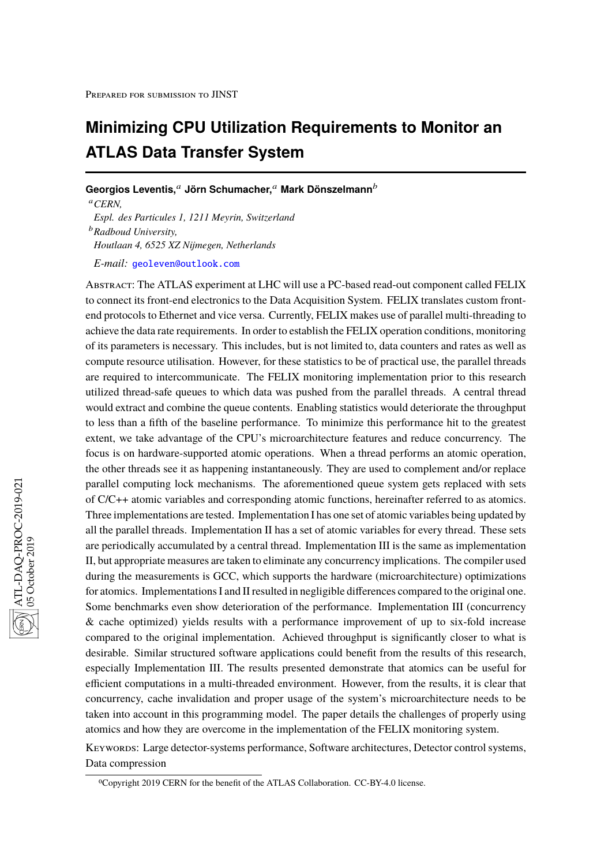# **Minimizing CPU Utilization Requirements to Monitor an ATLAS Data Transfer System**

# **Georgios Leventis,**<sup>a</sup> **Jörn Schumacher,**<sup>a</sup> **Mark Dönszelmann**<sup>b</sup>

<sup>a</sup>*CERN,*

*Espl. des Particules 1, 1211 Meyrin, Switzerland* <sup>b</sup>*Radboud University, Houtlaan 4, 6525 XZ Nijmegen, Netherlands*

*E-mail:* [geoleven@outlook.com](mailto:geoleven@outlook.com)

Abstract: The ATLAS experiment at LHC will use a PC-based read-out component called FELIX to connect its front-end electronics to the Data Acquisition System. FELIX translates custom frontend protocols to Ethernet and vice versa. Currently, FELIX makes use of parallel multi-threading to achieve the data rate requirements. In order to establish the FELIX operation conditions, monitoring of its parameters is necessary. This includes, but is not limited to, data counters and rates as well as compute resource utilisation. However, for these statistics to be of practical use, the parallel threads are required to intercommunicate. The FELIX monitoring implementation prior to this research utilized thread-safe queues to which data was pushed from the parallel threads. A central thread would extract and combine the queue contents. Enabling statistics would deteriorate the throughput to less than a fifth of the baseline performance. To minimize this performance hit to the greatest extent, we take advantage of the CPU's microarchitecture features and reduce concurrency. The focus is on hardware-supported atomic operations. When a thread performs an atomic operation, the other threads see it as happening instantaneously. They are used to complement and/or replace parallel computing lock mechanisms. The aforementioned queue system gets replaced with sets of C/C++ atomic variables and corresponding atomic functions, hereinafter referred to as atomics. Three implementations are tested. Implementation I has one set of atomic variables being updated by all the parallel threads. Implementation II has a set of atomic variables for every thread. These sets are periodically accumulated by a central thread. Implementation III is the same as implementation II, but appropriate measures are taken to eliminate any concurrency implications. The compiler used during the measurements is GCC, which supports the hardware (microarchitecture) optimizations for atomics. Implementations I and II resulted in negligible differences compared to the original one. Some benchmarks even show deterioration of the performance. Implementation III (concurrency & cache optimized) yields results with a performance improvement of up to six-fold increase compared to the original implementation. Achieved throughput is significantly closer to what is desirable. Similar structured software applications could benefit from the results of this research, especially Implementation III. The results presented demonstrate that atomics can be useful for efficient computations in a multi-threaded environment. However, from the results, it is clear that concurrency, cache invalidation and proper usage of the system's microarchitecture needs to be taken into account in this programming model. The paper details the challenges of properly using atomics and how they are overcome in the implementation of the FELIX monitoring system.

KEYWORDS: Large detector-systems performance, Software architectures, Detector control systems, Data compression

<sup>0</sup>Copyright 2019 CERN for the benefit of the ATLAS Collaboration. CC-BY-4.0 license.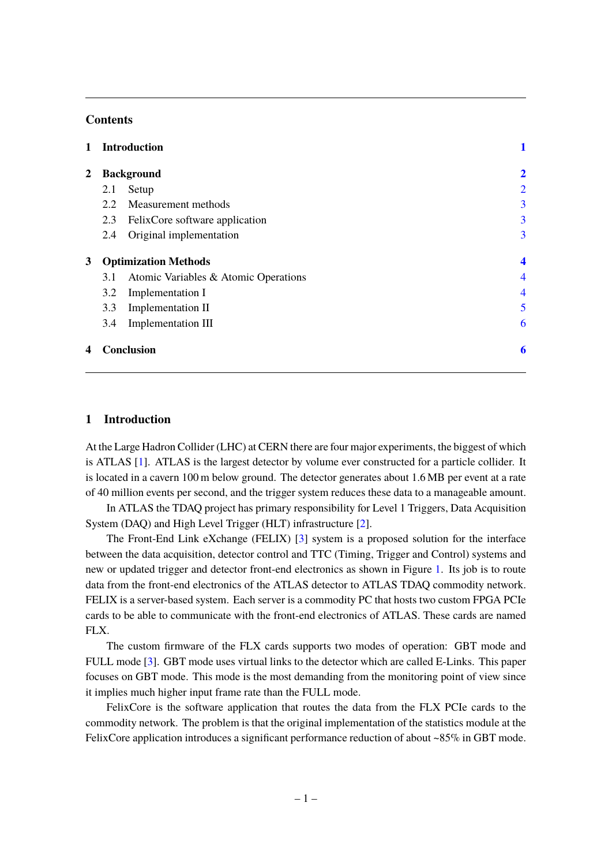# **Contents**

| $\mathbf{1}$     | <b>Introduction</b><br><b>Background</b> |                                      |                         |
|------------------|------------------------------------------|--------------------------------------|-------------------------|
| 2                |                                          |                                      | $\overline{\mathbf{2}}$ |
|                  | 2.1                                      | Setup                                | $\overline{2}$          |
|                  | 2.2                                      | Measurement methods                  | 3                       |
|                  | 2.3                                      | FelixCore software application       | $\overline{3}$          |
|                  | 2.4                                      | Original implementation              | 3                       |
| 3                | <b>Optimization Methods</b>              |                                      | 4                       |
|                  | 3.1                                      | Atomic Variables & Atomic Operations | 4                       |
|                  | 3.2                                      | Implementation I                     | $\overline{4}$          |
|                  | 3.3                                      | Implementation II                    | 5                       |
|                  | 3.4                                      | Implementation III                   | 6                       |
| $\boldsymbol{4}$ |                                          | <b>Conclusion</b>                    | 6                       |

## <span id="page-1-0"></span>**1 Introduction**

At the Large Hadron Collider (LHC) at CERN there are four major experiments, the biggest of which is ATLAS [\[1\]](#page-7-0). ATLAS is the largest detector by volume ever constructed for a particle collider. It is located in a cavern 100 m below ground. The detector generates about 1.6 MB per event at a rate of 40 million events per second, and the trigger system reduces these data to a manageable amount.

In ATLAS the TDAQ project has primary responsibility for Level 1 Triggers, Data Acquisition System (DAQ) and High Level Trigger (HLT) infrastructure [\[2\]](#page-7-1).

The Front-End Link eXchange (FELIX) [\[3\]](#page-7-2) system is a proposed solution for the interface between the data acquisition, detector control and TTC (Timing, Trigger and Control) systems and new or updated trigger and detector front-end electronics as shown in Figure [1.](#page-2-2) Its job is to route data from the front-end electronics of the ATLAS detector to ATLAS TDAQ commodity network. FELIX is a server-based system. Each server is a commodity PC that hosts two custom FPGA PCIe cards to be able to communicate with the front-end electronics of ATLAS. These cards are named FLX.

The custom firmware of the FLX cards supports two modes of operation: GBT mode and FULL mode [\[3\]](#page-7-2). GBT mode uses virtual links to the detector which are called E-Links. This paper focuses on GBT mode. This mode is the most demanding from the monitoring point of view since it implies much higher input frame rate than the FULL mode.

FelixCore is the software application that routes the data from the FLX PCIe cards to the commodity network. The problem is that the original implementation of the statistics module at the FelixCore application introduces a significant performance reduction of about ~85% in GBT mode.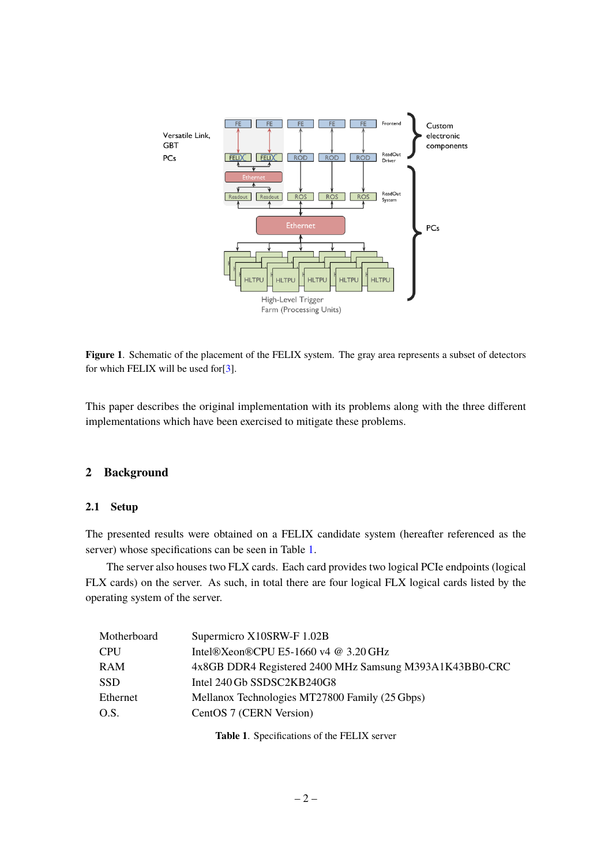

<span id="page-2-2"></span>**Figure 1**. Schematic of the placement of the FELIX system. The gray area represents a subset of detectors for which FELIX will be used for[\[3\]](#page-7-2).

This paper describes the original implementation with its problems along with the three different implementations which have been exercised to mitigate these problems.

# <span id="page-2-0"></span>**2 Background**

#### <span id="page-2-1"></span>**2.1 Setup**

The presented results were obtained on a FELIX candidate system (hereafter referenced as the server) whose specifications can be seen in Table [1.](#page-2-3)

The server also houses two FLX cards. Each card provides two logical PCIe endpoints (logical FLX cards) on the server. As such, in total there are four logical FLX logical cards listed by the operating system of the server.

| Motherboard | Supermicro X10SRW-F 1.02B                               |
|-------------|---------------------------------------------------------|
| <b>CPU</b>  | Intel®Xeon®CPU E5-1660 v4 @ 3.20 GHz                    |
| <b>RAM</b>  | 4x8GB DDR4 Registered 2400 MHz Samsung M393A1K43BB0-CRC |
| <b>SSD</b>  | Intel 240 Gb SSDSC2KB240G8                              |
| Ethernet    | Mellanox Technologies MT27800 Family (25 Gbps)          |
| O.S.        | CentOS 7 (CERN Version)                                 |
|             |                                                         |

<span id="page-2-3"></span>**Table 1**. Specifications of the FELIX server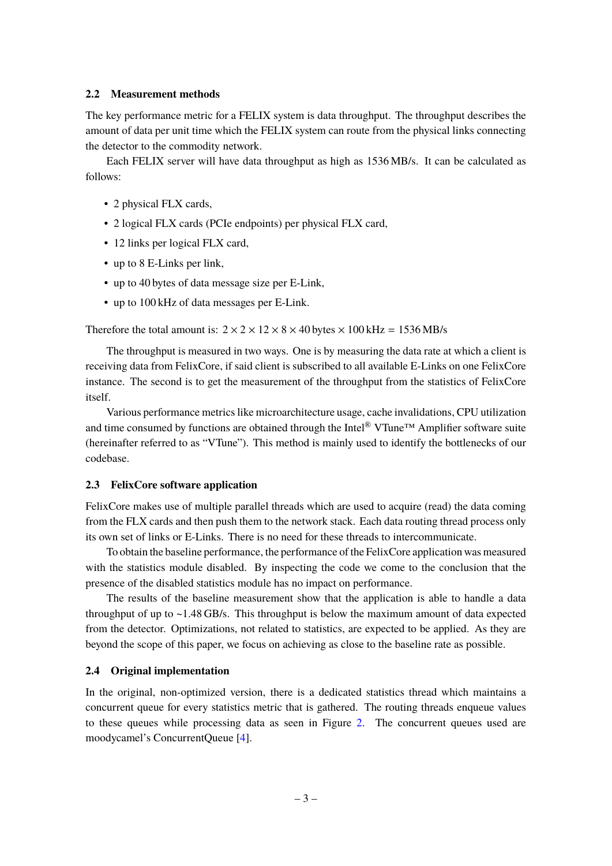### <span id="page-3-0"></span>**2.2 Measurement methods**

The key performance metric for a FELIX system is data throughput. The throughput describes the amount of data per unit time which the FELIX system can route from the physical links connecting the detector to the commodity network.

Each FELIX server will have data throughput as high as 1536 MB/s. It can be calculated as follows:

- 2 physical FLX cards,
- 2 logical FLX cards (PCIe endpoints) per physical FLX card,
- 12 links per logical FLX card,
- up to 8 E-Links per link,
- up to 40 bytes of data message size per E-Link,
- up to 100 kHz of data messages per E-Link.

Therefore the total amount is:  $2 \times 2 \times 12 \times 8 \times 40$  bytes  $\times 100$  kHz = 1536 MB/s

The throughput is measured in two ways. One is by measuring the data rate at which a client is receiving data from FelixCore, if said client is subscribed to all available E-Links on one FelixCore instance. The second is to get the measurement of the throughput from the statistics of FelixCore itself.

Various performance metrics like microarchitecture usage, cache invalidations, CPU utilization and time consumed by functions are obtained through the Intel® VTune™ Amplifier software suite (hereinafter referred to as "VTune"). This method is mainly used to identify the bottlenecks of our codebase.

### <span id="page-3-1"></span>**2.3 FelixCore software application**

FelixCore makes use of multiple parallel threads which are used to acquire (read) the data coming from the FLX cards and then push them to the network stack. Each data routing thread process only its own set of links or E-Links. There is no need for these threads to intercommunicate.

To obtain the baseline performance, the performance of the FelixCore application was measured with the statistics module disabled. By inspecting the code we come to the conclusion that the presence of the disabled statistics module has no impact on performance.

The results of the baseline measurement show that the application is able to handle a data throughput of up to  $\sim$  1.48 GB/s. This throughput is below the maximum amount of data expected from the detector. Optimizations, not related to statistics, are expected to be applied. As they are beyond the scope of this paper, we focus on achieving as close to the baseline rate as possible.

#### <span id="page-3-2"></span>**2.4 Original implementation**

In the original, non-optimized version, there is a dedicated statistics thread which maintains a concurrent queue for every statistics metric that is gathered. The routing threads enqueue values to these queues while processing data as seen in Figure [2.](#page-4-3) The concurrent queues used are moodycamel's ConcurrentQueue [\[4\]](#page-7-3).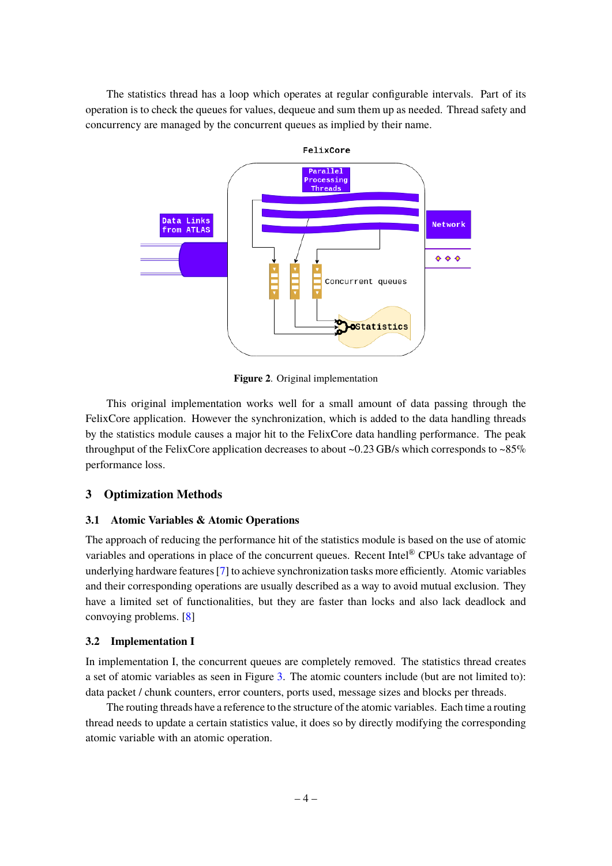The statistics thread has a loop which operates at regular configurable intervals. Part of its operation is to check the queues for values, dequeue and sum them up as needed. Thread safety and concurrency are managed by the concurrent queues as implied by their name.



<span id="page-4-3"></span>**Figure 2**. Original implementation

This original implementation works well for a small amount of data passing through the FelixCore application. However the synchronization, which is added to the data handling threads by the statistics module causes a major hit to the FelixCore data handling performance. The peak throughput of the FelixCore application decreases to about  $\sim$  0.23 GB/s which corresponds to  $\sim$  85% performance loss.

# <span id="page-4-0"></span>**3 Optimization Methods**

#### <span id="page-4-1"></span>**3.1 Atomic Variables & Atomic Operations**

The approach of reducing the performance hit of the statistics module is based on the use of atomic variables and operations in place of the concurrent queues. Recent Intel® CPUs take advantage of underlying hardware features [\[7\]](#page-7-4) to achieve synchronization tasks more efficiently. Atomic variables and their corresponding operations are usually described as a way to avoid mutual exclusion. They have a limited set of functionalities, but they are faster than locks and also lack deadlock and convoying problems. [\[8\]](#page-7-5)

#### <span id="page-4-2"></span>**3.2 Implementation I**

In implementation I, the concurrent queues are completely removed. The statistics thread creates a set of atomic variables as seen in Figure [3.](#page-5-1) The atomic counters include (but are not limited to): data packet / chunk counters, error counters, ports used, message sizes and blocks per threads.

The routing threads have a reference to the structure of the atomic variables. Each time a routing thread needs to update a certain statistics value, it does so by directly modifying the corresponding atomic variable with an atomic operation.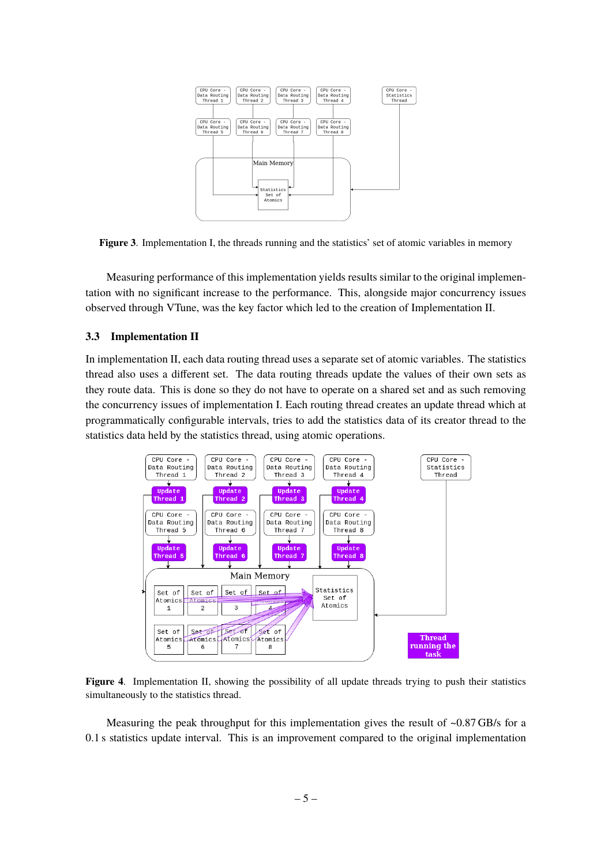

<span id="page-5-1"></span>**Figure 3**. Implementation I, the threads running and the statistics' set of atomic variables in memory

Measuring performance of this implementation yields results similar to the original implementation with no significant increase to the performance. This, alongside major concurrency issues observed through VTune, was the key factor which led to the creation of Implementation II.

# <span id="page-5-0"></span>**3.3 Implementation II**

In implementation II, each data routing thread uses a separate set of atomic variables. The statistics thread also uses a different set. The data routing threads update the values of their own sets as they route data. This is done so they do not have to operate on a shared set and as such removing the concurrency issues of implementation I. Each routing thread creates an update thread which at programmatically configurable intervals, tries to add the statistics data of its creator thread to the statistics data held by the statistics thread, using atomic operations.



<span id="page-5-2"></span>**Figure 4**. Implementation II, showing the possibility of all update threads trying to push their statistics simultaneously to the statistics thread.

Measuring the peak throughput for this implementation gives the result of  $\sim 0.87$  GB/s for a 0.1 s statistics update interval. This is an improvement compared to the original implementation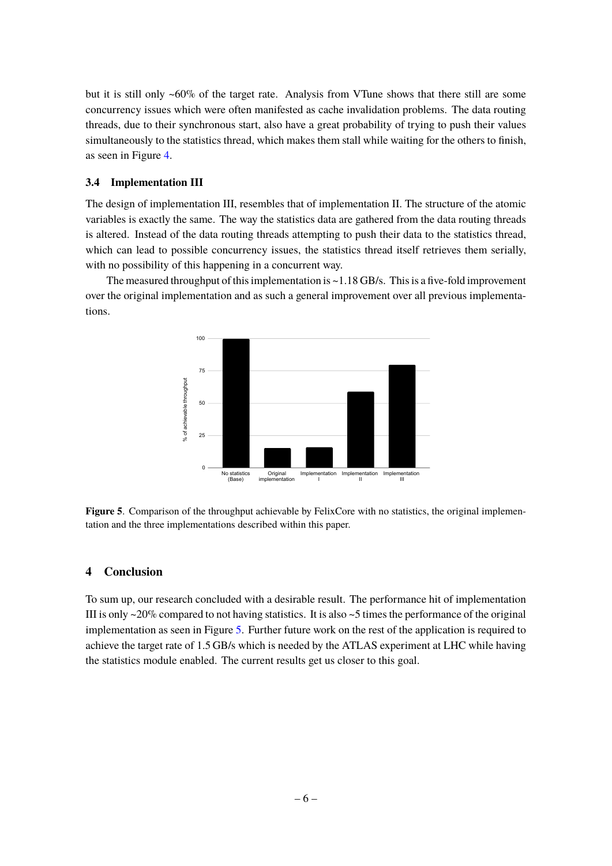but it is still only ~60% of the target rate. Analysis from VTune shows that there still are some concurrency issues which were often manifested as cache invalidation problems. The data routing threads, due to their synchronous start, also have a great probability of trying to push their values simultaneously to the statistics thread, which makes them stall while waiting for the others to finish, as seen in Figure [4.](#page-5-2)

## <span id="page-6-0"></span>**3.4 Implementation III**

The design of implementation III, resembles that of implementation II. The structure of the atomic variables is exactly the same. The way the statistics data are gathered from the data routing threads is altered. Instead of the data routing threads attempting to push their data to the statistics thread, which can lead to possible concurrency issues, the statistics thread itself retrieves them serially, with no possibility of this happening in a concurrent way.

The measured throughput of this implementation is  $\sim$  1.18 GB/s. This is a five-fold improvement over the original implementation and as such a general improvement over all previous implementations.



<span id="page-6-2"></span>**Figure 5.** Comparison of the throughput achievable by FelixCore with no statistics, the original implementation and the three implementations described within this paper.

### <span id="page-6-1"></span>**4 Conclusion**

To sum up, our research concluded with a desirable result. The performance hit of implementation III is only  $\sim$ 20% compared to not having statistics. It is also  $\sim$  5 times the performance of the original implementation as seen in Figure [5.](#page-6-2) Further future work on the rest of the application is required to achieve the target rate of 1.5 GB/s which is needed by the ATLAS experiment at LHC while having the statistics module enabled. The current results get us closer to this goal.